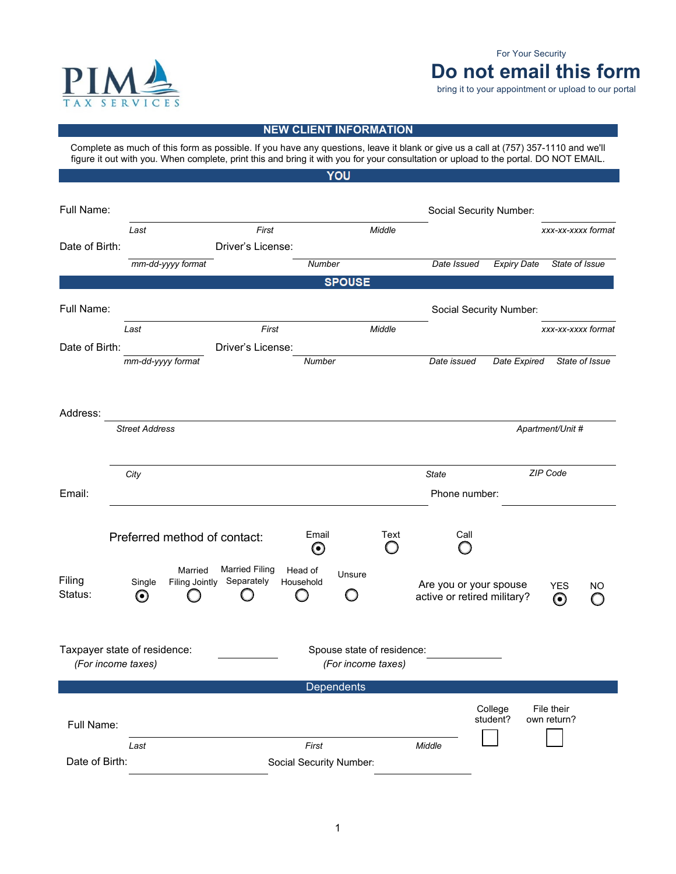

## **Do not email this form**  For Your Security

bring it to your appointment or upload to our portal

## **NEW CLIENT INFORMATION**

 Complete as much of this form as possible. If you have any questions, leave it blank or give us a call at (757) 357-1110 and we'll figure it out with you. When complete, print this and bring it with you for your consultation or upload to the portal. DO NOT EMAIL.YOU

| Full Name:     |                              |                                  |                                     |                         |                            | Social Security Number: |                                                       |                         |                                    |                |
|----------------|------------------------------|----------------------------------|-------------------------------------|-------------------------|----------------------------|-------------------------|-------------------------------------------------------|-------------------------|------------------------------------|----------------|
|                |                              |                                  |                                     |                         |                            |                         |                                                       |                         |                                    |                |
| Date of Birth: | Last                         |                                  | First<br>Driver's License:          |                         |                            | Middle                  |                                                       |                         | xxx-xx-xxxx format                 |                |
|                |                              | mm-dd-yyyy format                |                                     | <b>Number</b>           |                            |                         | Date Issued                                           | <b>Expiry Date</b>      | State of Issue                     |                |
|                |                              |                                  |                                     |                         | <b>SPOUSE</b>              |                         |                                                       |                         |                                    |                |
|                |                              |                                  |                                     |                         |                            |                         |                                                       |                         |                                    |                |
| Full Name:     |                              |                                  |                                     |                         |                            |                         |                                                       | Social Security Number: |                                    |                |
|                | Last                         |                                  | First                               |                         |                            | Middle                  |                                                       |                         | xxx-xx-xxxx format                 |                |
| Date of Birth: |                              |                                  | Driver's License:                   |                         |                            |                         |                                                       |                         |                                    |                |
|                | mm-dd-yyyy format            |                                  |                                     | Number                  |                            |                         | Date issued                                           | Date Expired            |                                    | State of Issue |
|                |                              |                                  |                                     |                         |                            |                         |                                                       |                         |                                    |                |
|                |                              |                                  |                                     |                         |                            |                         |                                                       |                         |                                    |                |
| Address:       |                              |                                  |                                     |                         |                            |                         |                                                       |                         |                                    |                |
|                | <b>Street Address</b>        |                                  |                                     |                         |                            |                         |                                                       |                         | Apartment/Unit #                   |                |
|                |                              |                                  |                                     |                         |                            |                         |                                                       |                         |                                    |                |
|                | City                         |                                  |                                     |                         |                            |                         | State                                                 |                         | ZIP Code                           |                |
| Email:         |                              |                                  |                                     |                         |                            |                         | Phone number:                                         |                         |                                    |                |
|                |                              |                                  |                                     |                         |                            |                         |                                                       |                         |                                    |                |
|                | Preferred method of contact: |                                  |                                     | Email                   |                            | Text                    | Call                                                  |                         |                                    |                |
|                |                              |                                  |                                     | $\boldsymbol{\odot}$    |                            |                         |                                                       |                         |                                    |                |
| Filing         | Single                       | Married<br><b>Filing Jointly</b> | <b>Married Filing</b><br>Separately | Head of<br>Household    | Unsure                     |                         |                                                       |                         |                                    |                |
| Status:        | $\boldsymbol{\Theta}$        |                                  |                                     |                         |                            |                         | Are you or your spouse<br>active or retired military? |                         | <b>YES</b><br>$\boldsymbol{\odot}$ | ΝO             |
|                |                              |                                  |                                     |                         |                            |                         |                                                       |                         |                                    |                |
|                | Taxpayer state of residence: |                                  |                                     |                         | Spouse state of residence: |                         |                                                       |                         |                                    |                |
|                | (For income taxes)           |                                  |                                     |                         | (For income taxes)         |                         |                                                       |                         |                                    |                |
|                |                              |                                  |                                     |                         | Dependents                 |                         |                                                       |                         |                                    |                |
|                |                              |                                  |                                     |                         |                            |                         |                                                       |                         |                                    |                |
|                |                              |                                  |                                     |                         |                            |                         |                                                       | College<br>student?     | File their<br>own return?          |                |
| Full Name:     |                              |                                  |                                     |                         |                            |                         |                                                       |                         |                                    |                |
|                | Last                         |                                  |                                     | First                   |                            |                         | Middle                                                |                         |                                    |                |
| Date of Birth: |                              |                                  |                                     | Social Security Number: |                            |                         |                                                       |                         |                                    |                |